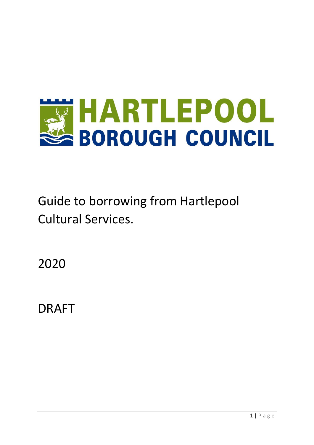

Guide to borrowing from Hartlepool Cultural Services.

2020

DRAFT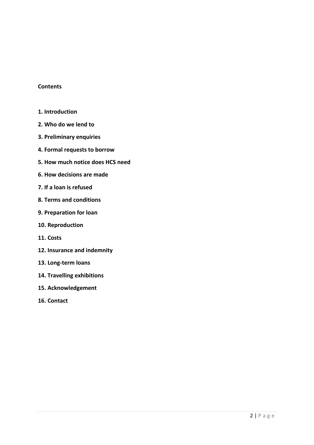# **Contents**

- **1. Introduction**
- **2. Who do we lend to**
- **3. Preliminary enquiries**
- **4. Formal requests to borrow**
- **5. How much notice does HCS need**
- **6. How decisions are made**
- **7. If a loan is refused**
- **8. Terms and conditions**
- **9. Preparation for loan**
- **10. Reproduction**
- **11. Costs**
- **12. Insurance and indemnity**
- **13. Long-term loans**
- **14. Travelling exhibitions**
- **15. Acknowledgement**
- **16. Contact**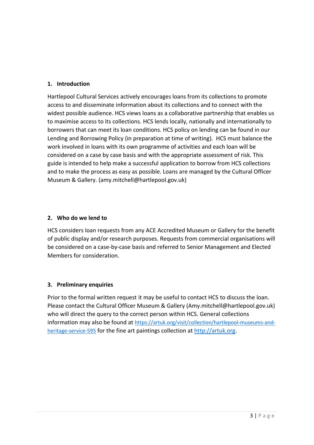# **1. Introduction**

Hartlepool Cultural Services actively encourages loans from its collections to promote access to and disseminate information about its collections and to connect with the widest possible audience. HCS views loans as a collaborative partnership that enables us to maximise access to its collections. HCS lends locally, nationally and internationally to borrowers that can meet its loan conditions. HCS policy on lending can be found in our Lending and Borrowing Policy (in preparation at time of writing). HCS must balance the work involved in loans with its own programme of activities and each loan will be considered on a case by case basis and with the appropriate assessment of risk. This guide is intended to help make a successful application to borrow from HCS collections and to make the process as easy as possible. Loans are managed by the Cultural Officer Museum & Gallery. (amy.mitchell@hartlepool.gov.uk)

# **2. Who do we lend to**

HCS considers loan requests from any ACE Accredited Museum or Gallery for the benefit of public display and/or research purposes. Requests from commercial organisations will be considered on a case-by-case basis and referred to Senior Management and Elected Members for consideration.

# **3. Preliminary enquiries**

Prior to the formal written request it may be useful to contact HCS to discuss the loan. Please contact the Cultural Officer Museum & Gallery (Amy.mitchell@hartlepool.gov.uk) who will direct the query to the correct person within HCS. General collections information may also be found at [https://artuk.org/visit/collection/hartlepool-museums-and](https://artuk.org/visit/collection/hartlepool-museums-and-heritage-service-595)[heritage-service-595](https://artuk.org/visit/collection/hartlepool-museums-and-heritage-service-595) for the fine art paintings collection at [http://artuk.org.](http://artuk.org/)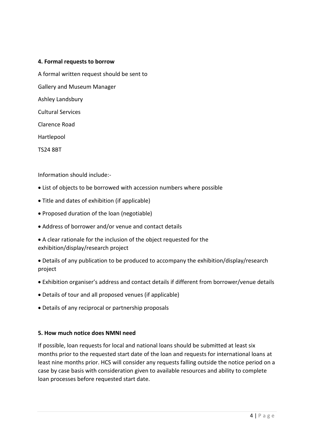# **4. Formal requests to borrow**

A formal written request should be sent to

Gallery and Museum Manager

Ashley Landsbury

Cultural Services

Clarence Road

Hartlepool

TS24 8BT

Information should include:-

- List of objects to be borrowed with accession numbers where possible
- Title and dates of exhibition (if applicable)
- Proposed duration of the loan (negotiable)
- Address of borrower and/or venue and contact details
- A clear rationale for the inclusion of the object requested for the exhibition/display/research project
- Details of any publication to be produced to accompany the exhibition/display/research project
- Exhibition organiser's address and contact details if different from borrower/venue details
- Details of tour and all proposed venues (if applicable)
- Details of any reciprocal or partnership proposals

# **5. How much notice does NMNI need**

If possible, loan requests for local and national loans should be submitted at least six months prior to the requested start date of the loan and requests for international loans at least nine months prior. HCS will consider any requests falling outside the notice period on a case by case basis with consideration given to available resources and ability to complete loan processes before requested start date.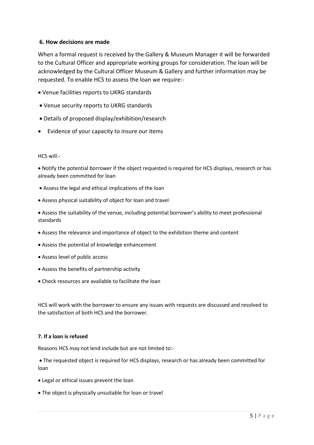# **6. How decisions are made**

When a formal request is received by the Gallery & Museum Manager it will be forwarded to the Cultural Officer and appropriate working groups for consideration. The loan will be acknowledged by the Cultural Officer Museum & Gallery and further information may be requested. To enable HCS to assess the loan we require:-

- Venue facilities reports to UKRG standards
- Venue security reports to UKRG standards
- Details of proposed display/exhibition/research
- Evidence of your capacity to insure our items

## HCS will:-

 Notify the potential borrower if the object requested is required for HCS displays, research or has already been committed for loan

- Assess the legal and ethical implications of the loan
- Assess physical suitability of object for loan and travel
- Assess the suitability of the venue, including potential borrower's ability to meet professional standards
- Assess the relevance and importance of object to the exhibition theme and content
- Assess the potential of knowledge enhancement
- Assess level of public access
- Assess the benefits of partnership activity
- Check resources are available to facilitate the loan

HCS will work with the borrower to ensure any issues with requests are discussed and resolved to the satisfaction of both HCS and the borrower.

## **7. If a loan is refused**

Reasons HCS may not lend include but are not limited to:-

 The requested object is required for HCS displays, research or has already been committed for loan

- Legal or ethical issues prevent the loan
- The object is physically unsuitable for loan or travel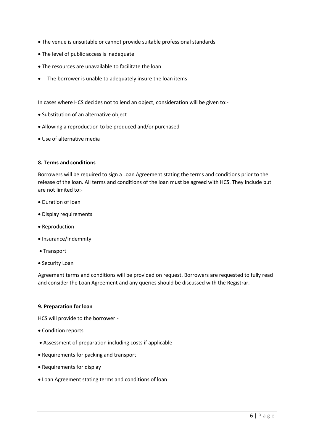- The venue is unsuitable or cannot provide suitable professional standards
- The level of public access is inadequate
- The resources are unavailable to facilitate the loan
- The borrower is unable to adequately insure the loan items

In cases where HCS decides not to lend an object, consideration will be given to:-

- Substitution of an alternative object
- Allowing a reproduction to be produced and/or purchased
- Use of alternative media

## **8. Terms and conditions**

Borrowers will be required to sign a Loan Agreement stating the terms and conditions prior to the release of the loan. All terms and conditions of the loan must be agreed with HCS. They include but are not limited to:-

- Duration of loan
- Display requirements
- Reproduction
- Insurance/Indemnity
- Transport
- Security Loan

Agreement terms and conditions will be provided on request. Borrowers are requested to fully read and consider the Loan Agreement and any queries should be discussed with the Registrar.

#### **9. Preparation for loan**

HCS will provide to the borrower:-

- Condition reports
- Assessment of preparation including costs if applicable
- Requirements for packing and transport
- Requirements for display
- Loan Agreement stating terms and conditions of loan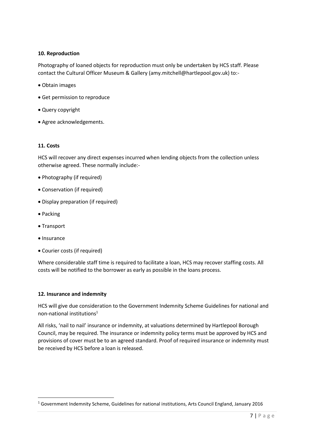# **10. Reproduction**

Photography of loaned objects for reproduction must only be undertaken by HCS staff. Please contact the Cultural Officer Museum & Gallery (amy.mitchell@hartlepool.gov.uk) to:-

- Obtain images
- Get permission to reproduce
- Query copyright
- Agree acknowledgements.

## **11. Costs**

HCS will recover any direct expenses incurred when lending objects from the collection unless otherwise agreed. These normally include:-

- Photography (if required)
- Conservation (if required)
- Display preparation (if required)
- Packing
- Transport
- Insurance

**.** 

Courier costs (if required)

Where considerable staff time is required to facilitate a loan, HCS may recover staffing costs. All costs will be notified to the borrower as early as possible in the loans process.

## **12. Insurance and indemnity**

HCS will give due consideration to the Government Indemnity Scheme Guidelines for national and non-national institutions<sup>1</sup>

All risks, 'nail to nail' insurance or indemnity, at valuations determined by Hartlepool Borough Council, may be required. The insurance or indemnity policy terms must be approved by HCS and provisions of cover must be to an agreed standard. Proof of required insurance or indemnity must be received by HCS before a loan is released.

 $1$  Government Indemnity Scheme, Guidelines for national institutions, Arts Council England, January 2016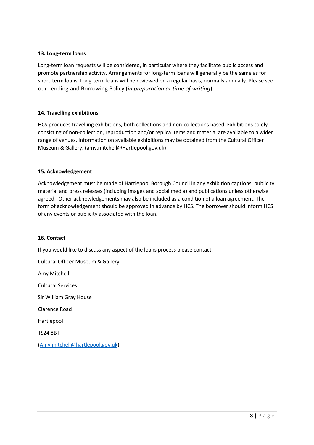# **13. Long-term loans**

Long-term loan requests will be considered, in particular where they facilitate public access and promote partnership activity. Arrangements for long-term loans will generally be the same as for short-term loans. Long-term loans will be reviewed on a regular basis, normally annually. Please see our Lending and Borrowing Policy (*in preparation at time of writing*)

# **14. Travelling exhibitions**

HCS produces travelling exhibitions, both collections and non-collections based. Exhibitions solely consisting of non-collection, reproduction and/or replica items and material are available to a wider range of venues. Information on available exhibitions may be obtained from the Cultural Officer Museum & Gallery. (amy.mitchell@Hartlepool.gov.uk)

## **15. Acknowledgement**

Acknowledgement must be made of Hartlepool Borough Council in any exhibition captions, publicity material and press releases (including images and social media) and publications unless otherwise agreed. Other acknowledgements may also be included as a condition of a loan agreement. The form of acknowledgement should be approved in advance by HCS. The borrower should inform HCS of any events or publicity associated with the loan.

## **16. Contact**

If you would like to discuss any aspect of the loans process please contact:-

Cultural Officer Museum & Gallery Amy Mitchell Cultural Services Sir William Gray House Clarence Road Hartlepool TS24 8BT [\(Amy.mitchell@hartlepool.gov.uk\)](mailto:Amy.mitchell@hartlepool.gov.uk)